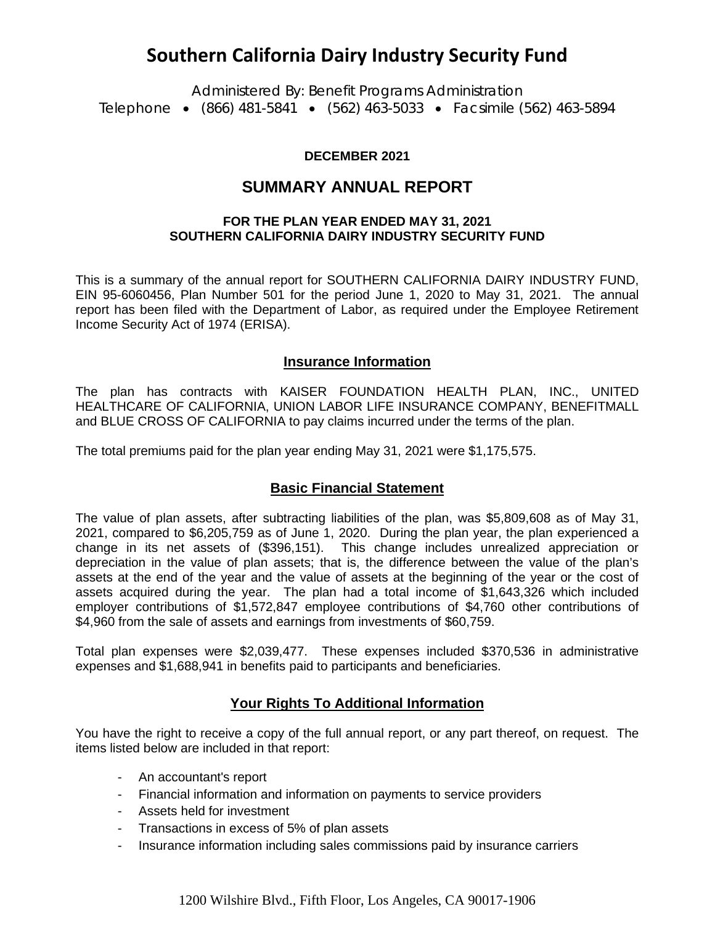# **Southern California Dairy Industry Security Fund**

Administered By: Benefit Programs Administration Telephone • (866) 481-5841 • (562) 463-5033 • Facsimile (562) 463-5894

#### **DECEMBER 2021**

## **SUMMARY ANNUAL REPORT**

#### **FOR THE PLAN YEAR ENDED MAY 31, 2021 SOUTHERN CALIFORNIA DAIRY INDUSTRY SECURITY FUND**

This is a summary of the annual report for SOUTHERN CALIFORNIA DAIRY INDUSTRY FUND, EIN 95-6060456, Plan Number 501 for the period June 1, 2020 to May 31, 2021. The annual report has been filed with the Department of Labor, as required under the Employee Retirement Income Security Act of 1974 (ERISA).

#### **Insurance Information**

The plan has contracts with KAISER FOUNDATION HEALTH PLAN, INC., UNITED HEALTHCARE OF CALIFORNIA, UNION LABOR LIFE INSURANCE COMPANY, BENEFITMALL and BLUE CROSS OF CALIFORNIA to pay claims incurred under the terms of the plan.

The total premiums paid for the plan year ending May 31, 2021 were \$1,175,575.

#### **Basic Financial Statement**

The value of plan assets, after subtracting liabilities of the plan, was \$5,809,608 as of May 31, 2021, compared to \$6,205,759 as of June 1, 2020. During the plan year, the plan experienced a change in its net assets of (\$396,151). This change includes unrealized appreciation or depreciation in the value of plan assets; that is, the difference between the value of the plan's assets at the end of the year and the value of assets at the beginning of the year or the cost of assets acquired during the year. The plan had a total income of \$1,643,326 which included employer contributions of \$1,572,847 employee contributions of \$4,760 other contributions of \$4,960 from the sale of assets and earnings from investments of \$60,759.

Total plan expenses were \$2,039,477. These expenses included \$370,536 in administrative expenses and \$1,688,941 in benefits paid to participants and beneficiaries.

#### **Your Rights To Additional Information**

You have the right to receive a copy of the full annual report, or any part thereof, on request. The items listed below are included in that report:

- An accountant's report
- Financial information and information on payments to service providers
- Assets held for investment
- Transactions in excess of 5% of plan assets
- Insurance information including sales commissions paid by insurance carriers